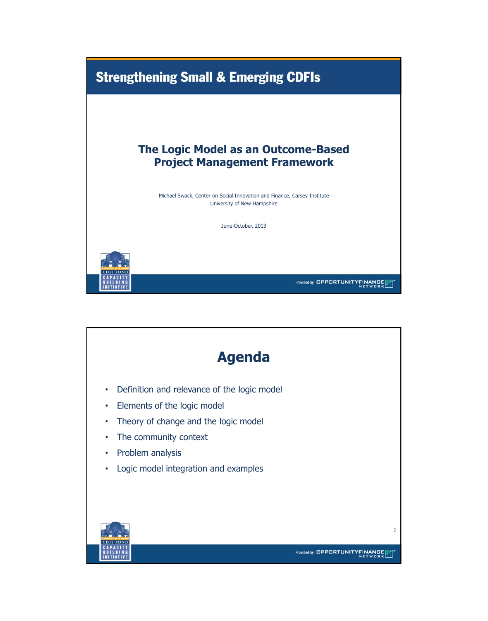

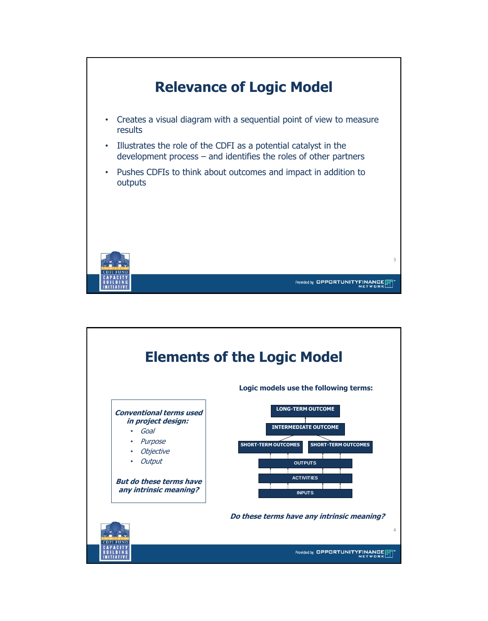

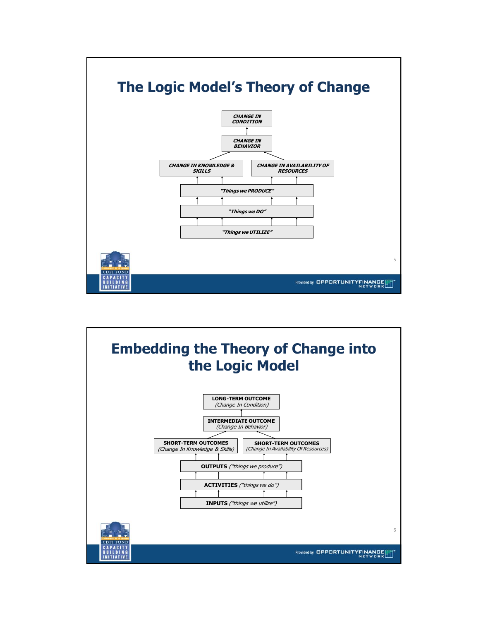

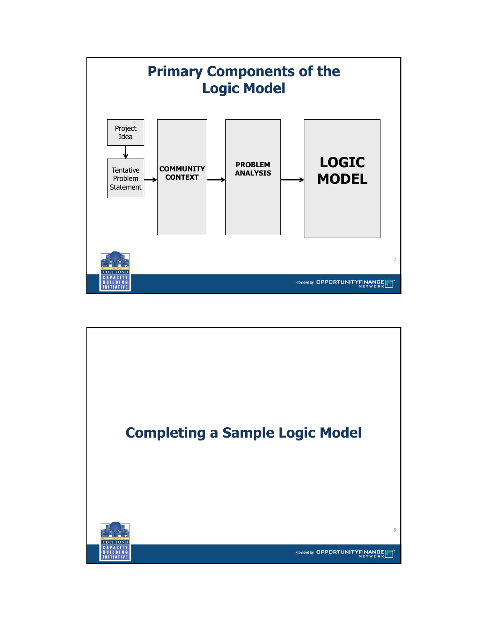

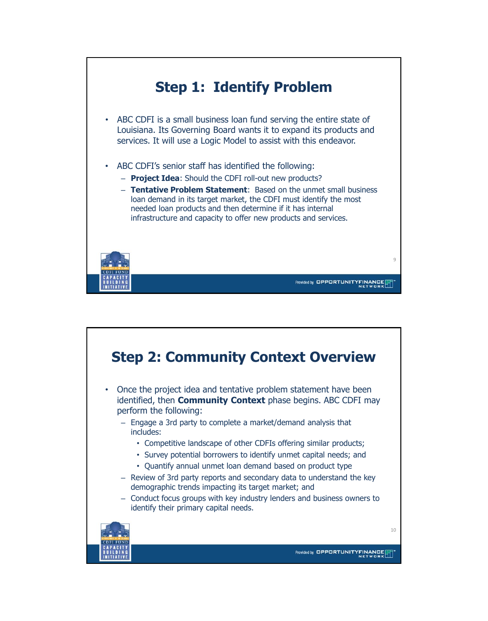

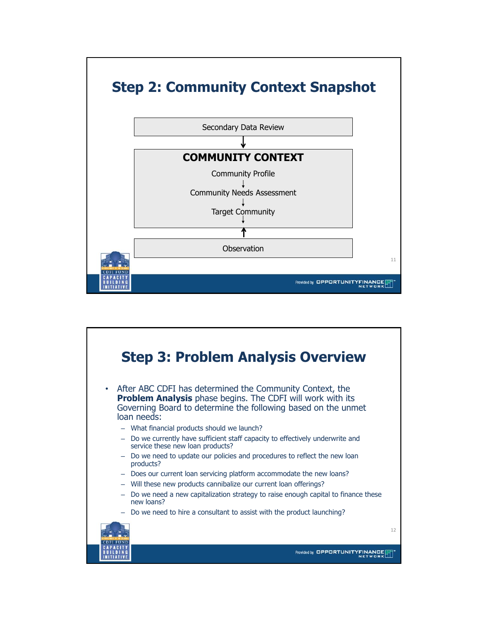

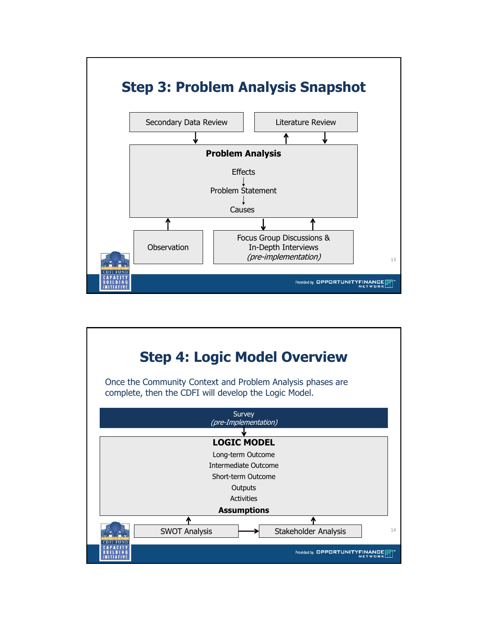